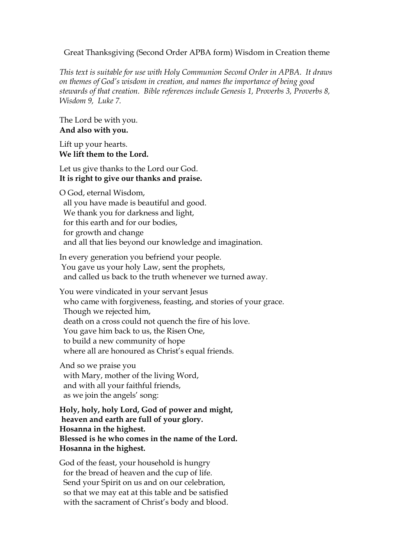## Great Thanksgiving (Second Order APBA form) Wisdom in Creation theme

*This text is suitable for use with Holy Communion Second Order in APBA. It draws on themes of God's wisdom in creation, and names the importance of being good stewards of that creation. Bible references include Genesis 1, Proverbs 3, Proverbs 8, Wisdom 9, Luke 7.*

The Lord be with you. **And also with you.**

Lift up your hearts. **We lift them to the Lord.**

Let us give thanks to the Lord our God. **It is right to give our thanks and praise.**

O God, eternal Wisdom, all you have made is beautiful and good. We thank you for darkness and light, for this earth and for our bodies, for growth and change and all that lies beyond our knowledge and imagination.

In every generation you befriend your people. You gave us your holy Law, sent the prophets, and called us back to the truth whenever we turned away.

You were vindicated in your servant Jesus who came with forgiveness, feasting, and stories of your grace. Though we rejected him, death on a cross could not quench the fire of his love. You gave him back to us, the Risen One, to build a new community of hope where all are honoured as Christ's equal friends.

And so we praise you with Mary, mother of the living Word, and with all your faithful friends, as we join the angels' song:

**Holy, holy, holy Lord, God of power and might, heaven and earth are full of your glory. Hosanna in the highest. Blessed is he who comes in the name of the Lord. Hosanna in the highest.**

God of the feast, your household is hungry for the bread of heaven and the cup of life. Send your Spirit on us and on our celebration, so that we may eat at this table and be satisfied with the sacrament of Christ's body and blood.